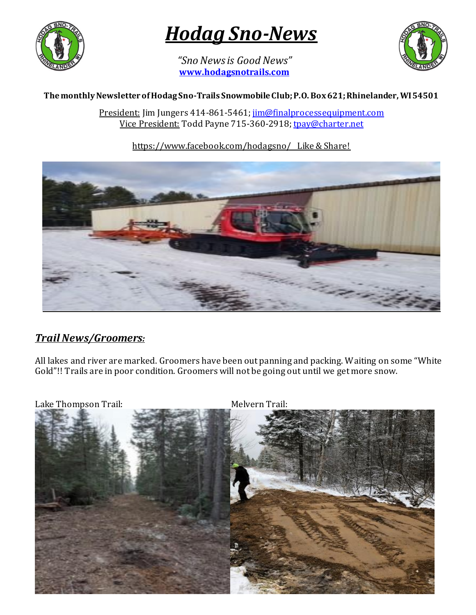

# *Hodag Sno-News*

*"Sno News is Good News"* **[www.hodagsnotrails.com](http://www.hodagsnotrails.com/)** 



#### **The monthly Newsletter of Hodag Sno-Trails Snowmobile Club; P.O. Box 621; Rhinelander, WI 54501**

President: Jim Jungers 414-861-5461[; jim@finalprocessequipment.com](mailto:jim@finalprocessequipment.com) Vice President: Todd Payne 715-360-2918[; tpay@charter.net](mailto:tpay@charter.net)

### https://www.facebook.com/hodagsno/ Like & Share!



# *Trail News/Groomers:*

All lakes and river are marked. Groomers have been out panning and packing. Waiting on some "White Gold"!! Trails are in poor condition. Groomers will not be going out until we get more snow.

Lake Thompson Trail: Melvern Trail:

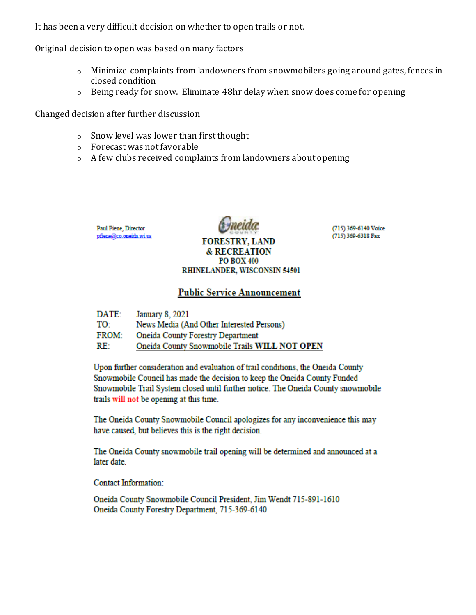It has been a very difficult decision on whether to open trails or not.

Original decision to open was based on many factors

- o Minimize complaints from landowners from snowmobilers going around gates, fences in closed condition
- o Being ready for snow. Eliminate 48hr delay when snow does come for opening

Changed decision after further discussion

- o Snow level was lower than first thought
- o Forecast was not favorable
- o A few clubs received complaints from landowners about opening

Paul Fiene, Director pfiene@co.oneida.wi.us



(715) 369-6140 Voice (715) 369-6318 Fax

#### **& RECREATION PO BOX 400** RHINELANDER, WISCONSIN 54501

**FORESTRY, LAND** 

#### **Public Service Announcement**

| DATE:        | January 8, 2021                               |
|--------------|-----------------------------------------------|
| TO:          | News Media (And Other Interested Persons)     |
| <b>FROM:</b> | <b>Oneida County Forestry Department</b>      |
| RE:          | Oneida County Snowmobile Trails WILL NOT OPEN |

Upon further consideration and evaluation of trail conditions, the Oneida County Snowmobile Council has made the decision to keep the Oneida County Funded Snowmobile Trail System closed until further notice. The Oneida County snowmobile trails will not be opening at this time.

The Oneida County Snowmobile Council apologizes for any inconvenience this may have caused, but believes this is the right decision.

The Oneida County snowmobile trail opening will be determined and announced at a later date.

**Contact Information:** 

Oneida County Snowmobile Council President, Jim Wendt 715-891-1610 Oneida County Forestry Department, 715-369-6140